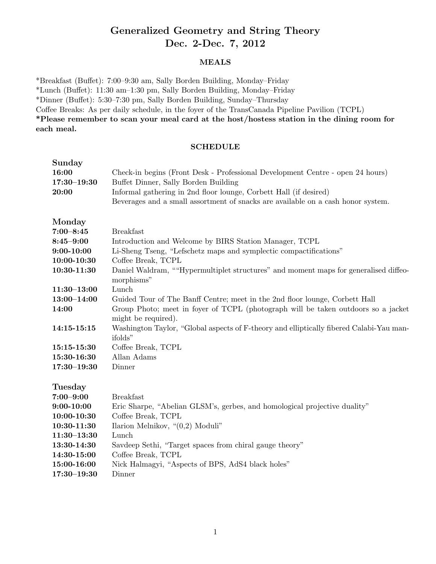# Generalized Geometry and String Theory Dec. 2-Dec. 7, 2012

#### MEALS

\*Breakfast (Buffet): 7:00-9:30 am, Sally Borden Building, Monday-Friday \*Lunch (Bu↵et): 11:30 am–1:30 pm, Sally Borden Building, Monday–Friday \*Dinner (Bu↵et): 5:30–7:30 pm, Sally Borden Building, Sunday–Thursday Coffee Breaks: As per daily schedule, in the foyer of the TransCanada Pipeline Pavilion (TCPL) \*Please remember to scan your meal card at the host/hostess station in the dining room for each meal.

#### SCHEDULE

| Sunday<br>16:00<br>$17:30 - 19:30$<br>20:00 | Check-in begins (Front Desk - Professional Development Centre - open 24 hours)<br>Buffet Dinner, Sally Borden Building<br>Informal gathering in 2nd floor lounge, Corbett Hall (if desired)<br>Beverages and a small assortment of snacks are available on a cash honor system. |
|---------------------------------------------|---------------------------------------------------------------------------------------------------------------------------------------------------------------------------------------------------------------------------------------------------------------------------------|
| Monday                                      |                                                                                                                                                                                                                                                                                 |
| $7:00 - 8:45$                               | <b>Breakfast</b>                                                                                                                                                                                                                                                                |
| $8:45 - 9:00$                               | Introduction and Welcome by BIRS Station Manager, TCPL                                                                                                                                                                                                                          |
| $9:00 - 10:00$                              | Li-Sheng Tseng, "Lefschetz maps and symplectic compactifications"                                                                                                                                                                                                               |
| $10:00 - 10:30$                             | Coffee Break, TCPL                                                                                                                                                                                                                                                              |
| 10:30-11:30                                 | Daniel Waldram, ""Hypermultiplet structures" and moment maps for generalised diffeo-<br>morphisms"                                                                                                                                                                              |
| $11:30 - 13:00$                             | Lunch                                                                                                                                                                                                                                                                           |
| $13:00 - 14:00$                             | Guided Tour of The Banff Centre; meet in the 2nd floor lounge, Corbett Hall                                                                                                                                                                                                     |
| 14:00                                       | Group Photo; meet in foyer of TCPL (photograph will be taken outdoors so a jacket<br>might be required).                                                                                                                                                                        |
| 14:15-15:15                                 | Washington Taylor, "Global aspects of F-theory and elliptically fibered Calabi-Yau man-                                                                                                                                                                                         |
|                                             | ifolds"                                                                                                                                                                                                                                                                         |
| 15:15-15:30                                 | Coffee Break, TCPL                                                                                                                                                                                                                                                              |
| 15:30-16:30                                 | Allan Adams                                                                                                                                                                                                                                                                     |
| $17:30 - 19:30$                             | Dinner                                                                                                                                                                                                                                                                          |
|                                             |                                                                                                                                                                                                                                                                                 |
| <b>Tuesday</b>                              |                                                                                                                                                                                                                                                                                 |
| $7:00 - 9:00$                               | <b>Breakfast</b>                                                                                                                                                                                                                                                                |
| $9:00 - 10:00$                              | Eric Sharpe, "Abelian GLSM's, gerbes, and homological projective duality"                                                                                                                                                                                                       |
| 10:00-10:30                                 | Coffee Break, TCPL                                                                                                                                                                                                                                                              |
| 10:30-11:30                                 | Ilarion Melnikov, " $(0,2)$ Moduli"                                                                                                                                                                                                                                             |
| $11:30 - 13:30$                             | Lunch                                                                                                                                                                                                                                                                           |
| 13:30-14:30                                 | Savdeep Sethi, "Target spaces from chiral gauge theory"                                                                                                                                                                                                                         |
| 14:30-15:00                                 | Coffee Break, TCPL                                                                                                                                                                                                                                                              |
| 15:00-16:00                                 | Nick Halmagyi, "Aspects of BPS, AdS4 black holes"                                                                                                                                                                                                                               |
| $17:30 - 19:30$                             | Dinner                                                                                                                                                                                                                                                                          |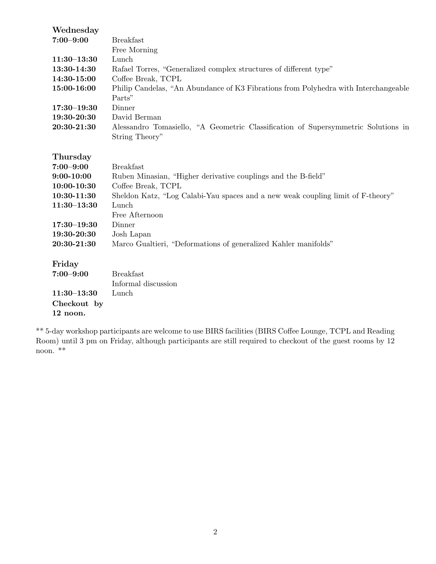| Wednesday       |                                                                                     |
|-----------------|-------------------------------------------------------------------------------------|
| $7:00 - 9:00$   | <b>Breakfast</b>                                                                    |
|                 | Free Morning                                                                        |
| $11:30 - 13:30$ | Lunch                                                                               |
| 13:30-14:30     | Rafael Torres, "Generalized complex structures of different type"                   |
| 14:30-15:00     | Coffee Break, TCPL                                                                  |
| 15:00-16:00     | Philip Candelas, "An Abundance of K3 Fibrations from Polyhedra with Interchangeable |
|                 | Parts"                                                                              |
| $17:30 - 19:30$ | Dinner                                                                              |
| 19:30-20:30     | David Berman                                                                        |
| 20:30-21:30     | Alessandro Tomasiello, "A Geometric Classification of Supersymmetric Solutions in   |
|                 | String Theory"                                                                      |
|                 |                                                                                     |
| Thursday        |                                                                                     |
| $7:00 - 9:00$   | <b>Breakfast</b>                                                                    |
| $9:00 - 10:00$  | Ruben Minasian, "Higher derivative couplings and the B-field"                       |
| 10:00-10:30     | Coffee Break, TCPL                                                                  |
| 10:30-11:30     | Sheldon Katz, "Log Calabi-Yau spaces and a new weak coupling limit of F-theory"     |
| $11:30-13:30$   | Lunch                                                                               |
|                 | Free Afternoon                                                                      |
| $17:30 - 19:30$ | Dinner                                                                              |
| 19:30-20:30     | Josh Lapan                                                                          |
| 20:30-21:30     | Marco Gualtieri, "Deformations of generalized Kahler manifolds"                     |
|                 |                                                                                     |
| Friday          |                                                                                     |
| $7:00 - 9:00$   | <b>Breakfast</b>                                                                    |
|                 | Informal discussion                                                                 |
| $11:30-13:30$   | Lunch                                                                               |
| Checkout by     |                                                                                     |
| 12 noon.        |                                                                                     |
|                 |                                                                                     |

\*\* 5-day workshop participants are welcome to use BIRS facilities (BIRS Coffee Lounge, TCPL and Reading Room) until 3 pm on Friday, although participants are still required to checkout of the guest rooms by 12 noon. \*\*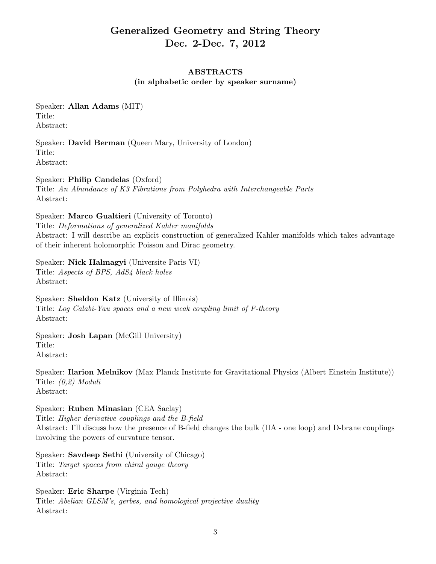# Generalized Geometry and String Theory Dec. 2-Dec. 7, 2012

# ABSTRACTS

(in alphabetic order by speaker surname)

Speaker: Allan Adams (MIT) Title: Abstract:

Speaker: David Berman (Queen Mary, University of London) Title: Abstract:

Speaker: Philip Candelas (Oxford) Title: *An Abundance of K3 Fibrations from Polyhedra with Interchangeable Parts* Abstract:

Speaker: Marco Gualtieri (University of Toronto) Title: *Deformations of generalized Kahler manifolds* Abstract: I will describe an explicit construction of generalized Kahler manifolds which takes advantage of their inherent holomorphic Poisson and Dirac geometry.

Speaker: Nick Halmagyi (Universite Paris VI) Title: *Aspects of BPS, AdS4 black holes* Abstract:

Speaker: Sheldon Katz (University of Illinois) Title: *Log Calabi-Yau spaces and a new weak coupling limit of F-theory* Abstract:

Speaker: Josh Lapan (McGill University) Title: Abstract:

Speaker: Ilarion Melnikov (Max Planck Institute for Gravitational Physics (Albert Einstein Institute)) Title: *(0,2) Moduli* Abstract:

Speaker: Ruben Minasian (CEA Saclay)

Title: *Higher derivative couplings and the B-field* Abstract: I'll discuss how the presence of B-field changes the bulk (IIA - one loop) and D-brane couplings involving the powers of curvature tensor.

Speaker: Savdeep Sethi (University of Chicago) Title: *Target spaces from chiral gauge theory* Abstract:

Speaker: Eric Sharpe (Virginia Tech) Title: *Abelian GLSM's, gerbes, and homological projective duality* Abstract: